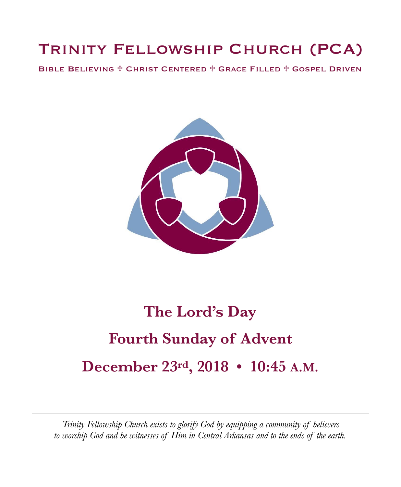# Trinity Fellowship Church (PCA)

Bible Believing ♱ Christ Centered ♱ Grace Filled ♱ Gospel Driven



# **The Lord's Day Fourth Sunday of Advent December 23rd, 2018 • 10:45 A.M.**

*Trinity Fellowship Church exists to glorify God by equipping a community of believers to worship God and be witnesses of Him in Central Arkansas and to the ends of the earth.*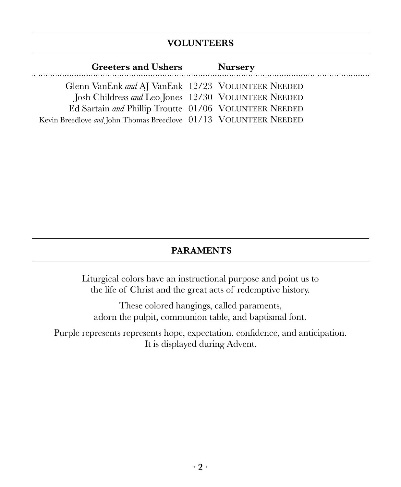### **VOLUNTEERS**

| <b>Greeters and Ushers</b>                                       | <b>Nursery</b> |  |
|------------------------------------------------------------------|----------------|--|
| Glenn VanEnk and AJ VanEnk 12/23 VOLUNTEER NEEDED                |                |  |
| Josh Childress and Leo Jones 12/30 VOLUNTEER NEEDED              |                |  |
| Ed Sartain and Phillip Troutte 01/06 VOLUNTEER NEEDED            |                |  |
| Kevin Breedlove and John Thomas Breedlove 01/13 VOLUNTEER NEEDED |                |  |

### **PARAMENTS**

Liturgical colors have an instructional purpose and point us to the life of Christ and the great acts of redemptive history.

These colored hangings, called paraments, adorn the pulpit, communion table, and baptismal font.

Purple represents represents hope, expectation, confidence, and anticipation. It is displayed during Advent.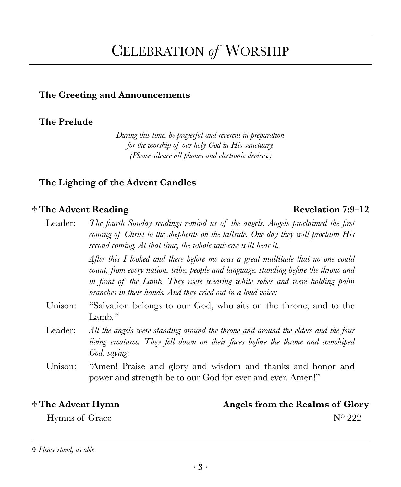## CELEBRATION *of* WORSHIP

### **The Greeting and Announcements**

### **The Prelude**

*During this time, be prayerful and reverent in preparation for the worship of our holy God in His sanctuary. (Please silence all phones and electronic devices.)* 

### **The Lighting of the Advent Candles**

### ♱ **The Advent Reading Revelation 7:9–12**

### Leader: *The fourth Sunday readings remind us of the angels. Angels proclaimed the first coming of Christ to the shepherds on the hillside. One day they will proclaim His second coming. At that time, the whole universe will hear it. After this I looked and there before me was a great multitude that no one could count, from every nation, tribe, people and language, standing before the throne and in front of the Lamb. They were wearing white robes and were holding palm branches in their hands. And they cried out in a loud voice:*  Unison: "Salvation belongs to our God, who sits on the throne, and to the Lamb." Leader: *All the angels were standing around the throne and around the elders and the four living creatures. They fell down on their faces before the throne and worshiped God, saying:*

Unison: "Amen! Praise and glory and wisdom and thanks and honor and power and strength be to our God for ever and ever. Amen!"

♱ **The Advent Hymn Angels from the Realms of Glory** 

Hymns of Grace  $N^{\rm o}$  222

<sup>♱</sup> *Please stand, as able*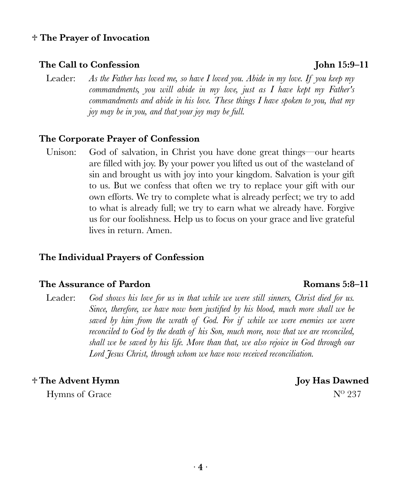### ♱ **The Prayer of Invocation**

### **The Call to Confession John 15:9–11**

Leader: *As the Father has loved me, so have I loved you. Abide in my love. If you keep my commandments, you will abide in my love, just as I have kept my Father's commandments and abide in his love. These things I have spoken to you, that my joy may be in you, and that your joy may be full.* 

### **The Corporate Prayer of Confession**

Unison: God of salvation, in Christ you have done great things—our hearts are filled with joy. By your power you lifted us out of the wasteland of sin and brought us with joy into your kingdom. Salvation is your gift to us. But we confess that often we try to replace your gift with our own efforts. We try to complete what is already perfect; we try to add to what is already full; we try to earn what we already have. Forgive us for our foolishness. Help us to focus on your grace and live grateful lives in return. Amen.

### **The Individual Prayers of Confession**

### **The Assurance of Pardon Romans 5:8–11**

Leader: God shows his love for us in that while we were still sinners, Christ died for us. *Since, therefore, we have now been justified by his blood, much more shall we be saved by him from the wrath of God. For if while we were enemies we were reconciled to God by the death of his Son, much more, now that we are reconciled, shall we be saved by his life. More than that, we also rejoice in God through our Lord Jesus Christ, through whom we have now received reconciliation.* 

### ♱ **The Advent Hymn Joy Has Dawned**

Hymns of Grace  $N^{\rm o}$  237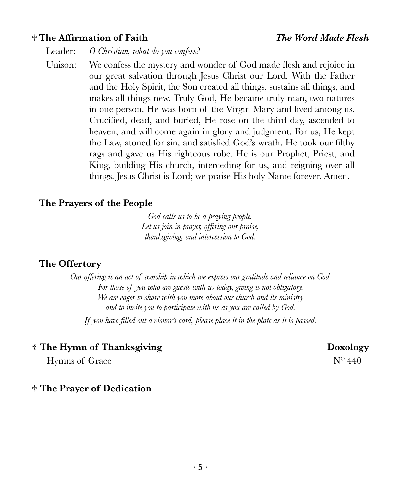### ♱ **The Affirmation of Faith** *The Word Made Flesh*

Leader: *O Christian, what do you confess?* 

Unison: We confess the mystery and wonder of God made flesh and rejoice in our great salvation through Jesus Christ our Lord. With the Father and the Holy Spirit, the Son created all things, sustains all things, and makes all things new. Truly God, He became truly man, two natures in one person. He was born of the Virgin Mary and lived among us. Crucified, dead, and buried, He rose on the third day, ascended to heaven, and will come again in glory and judgment. For us, He kept the Law, atoned for sin, and satisfied God's wrath. He took our filthy rags and gave us His righteous robe. He is our Prophet, Priest, and King, building His church, interceding for us, and reigning over all things. Jesus Christ is Lord; we praise His holy Name forever. Amen.

### **The Prayers of the People**

*God calls us to be a praying people. Let us join in prayer, offering our praise, thanksgiving, and intercession to God.* 

### **The Offertory**

*Our offering is an act of worship in which we express our gratitude and reliance on God. For those of you who are guests with us today, giving is not obligatory. We are eager to share with you more about our church and its ministry and to invite you to participate with us as you are called by God. If you have filled out a visitor's card, please place it in the plate as it is passed.* 

### $*$  The Hymn of Thanksgiving **Doxology**

Hymns of Grace  $N^{\rm o}$  440

### ♱ **The Prayer of Dedication**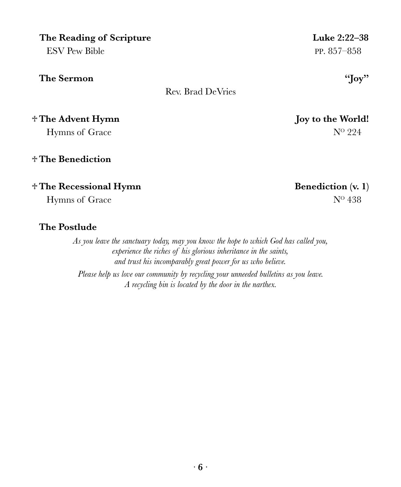| The Reading of Scripture        | Luke 2:22-38      |
|---------------------------------|-------------------|
| <b>ESV Pew Bible</b>            | PP. $857 - 858$   |
| The Sermon<br>Rev. Brad DeVries | "Joy"             |
| † The Advent Hymn               | Joy to the World! |
| Hymns of Grace                  | $N^{\rm o}$ 224   |
| † The Benediction               |                   |

### ♱ **The Recessional Hymn Benediction (v. 1)**

Hymns of Grace  $N^0$  438

### **The Postlude**

*As you leave the sanctuary today, may you know the hope to which God has called you, experience the riches of his glorious inheritance in the saints, and trust his incomparably great power for us who believe. Please help us love our community by recycling your unneeded bulletins as you leave. A recycling bin is located by the door in the narthex.*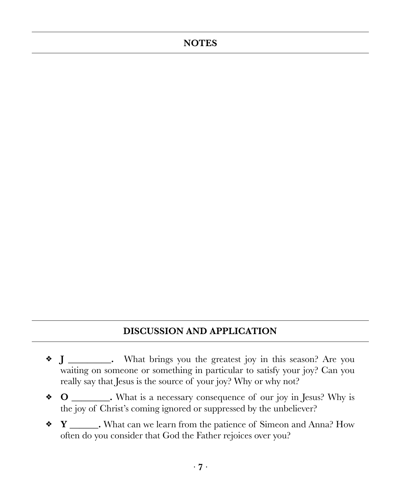### **NOTES**

### **DISCUSSION AND APPLICATION**

- **J \_\_\_\_\_\_\_\_\_.** What brings you the greatest joy in this season? Are you ❖ waiting on someone or something in particular to satisfy your joy? Can you really say that Jesus is the source of your joy? Why or why not?
- **O \_\_\_\_\_\_\_\_.** What is a necessary consequence of our joy in Jesus? Why is the joy of Christ's coming ignored or suppressed by the unbeliever?
- **Y \_\_\_\_\_\_.** What can we learn from the patience of Simeon and Anna? How often do you consider that God the Father rejoices over you?